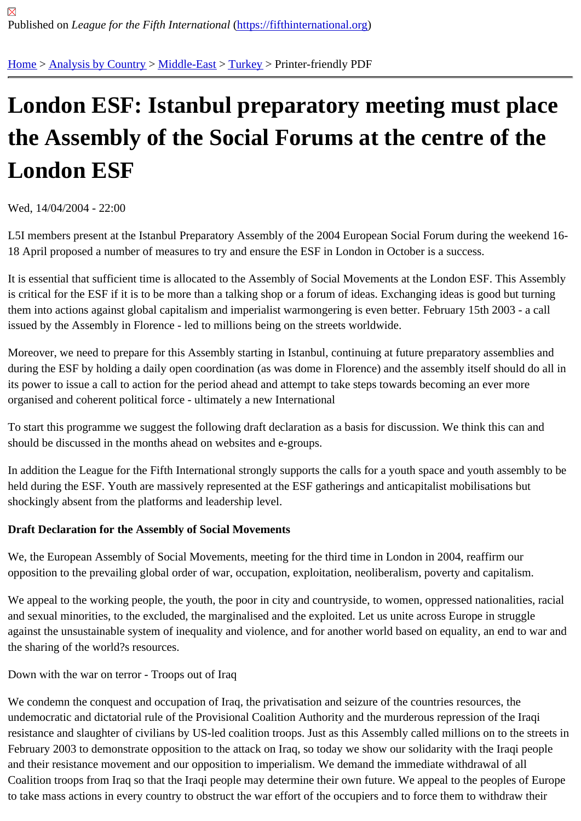# [Lon](https://fifthinternational.org/)[don ESF:](https://fifthinternational.org/category/1) I[stanbu](https://fifthinternational.org/category/1/178)[l pre](https://fifthinternational.org/category/1/178/174)paratory meeting must place the Assembly of the Social Forums at the centre of the London ESF

Wed, 14/04/2004 - 22:00

L5I members present at the Istanbul Preparatory Assembly of the 2004 European Social Forum during the weeker 18 April proposed a number of measures to try and ensure the ESF in London in October is a success.

It is essential that sufficient time is allocated to the Assembly of Social Movements at the London ESF. This Asser is critical for the ESF if it is to be more than a talking shop or a forum of ideas. Exchanging ideas is good but turnin them into actions against global capitalism and imperialist warmongering is even better. February 15th 2003 - a ca issued by the Assembly in Florence - led to millions being on the streets worldwide.

Moreover, we need to prepare for this Assembly starting in Istanbul, continuing at future preparatory assemblies a during the ESF by holding a daily open coordination (as was dome in Florence) and the assembly itself should do its power to issue a call to action for the period ahead and attempt to take steps towards becoming an ever more organised and coherent political force - ultimately a new International

To start this programme we suggest the following draft declaration as a basis for discussion. We think this can and should be discussed in the months ahead on websites and e-groups.

In addition the League for the Fifth International strongly supports the calls for a youth space and youth assembly held during the ESF. Youth are massively represented at the ESF gatherings and anticapitalist mobilisations but shockingly absent from the platforms and leadership level.

Draft Declaration for the Assembly of Social Movements

We, the European Assembly of Social Movements, meeting for the third time in London in 2004, reaffirm our opposition to the prevailing global order of war, occupation, exploitation, neoliberalism, poverty and capitalism.

We appeal to the working people, the youth, the poor in city and countryside, to women, oppressed nationalities, ra and sexual minorities, to the excluded, the marginalised and the exploited. Let us unite across Europe in struggle against the unsustainable system of inequality and violence, and for another world based on equality, an end to wa the sharing of the world?s resources.

Down with the war on terror - Troops out of Iraq

We condemn the conquest and occupation of Iraq, the privatisation and seizure of the countries resources, the undemocratic and dictatorial rule of the Provisional Coalition Authority and the murderous repression of the Iraqi resistance and slaughter of civilians by US-led coalition troops. Just as this Assembly called millions on to the stre February 2003 to demonstrate opposition to the attack on Iraq, so today we show our solidarity with the Iraqi peop and their resistance movement and our opposition to imperialism. We demand the immediate withdrawal of all Coalition troops from Iraq so that the Iraqi people may determine their own future. We appeal to the peoples of Eu to take mass actions in every country to obstruct the war effort of the occupiers and to force them to withdraw their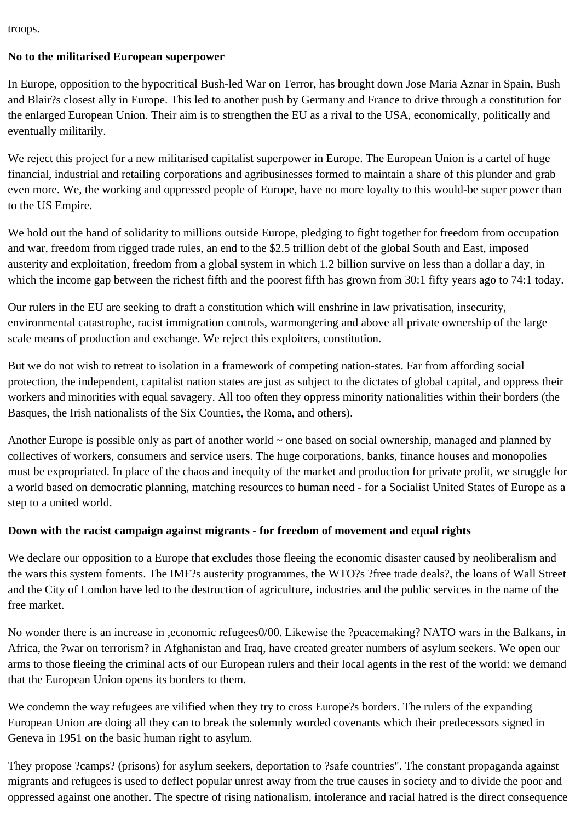troops.

## **No to the militarised European superpower**

In Europe, opposition to the hypocritical Bush-led War on Terror, has brought down Jose Maria Aznar in Spain, Bush and Blair?s closest ally in Europe. This led to another push by Germany and France to drive through a constitution for the enlarged European Union. Their aim is to strengthen the EU as a rival to the USA, economically, politically and eventually militarily.

We reject this project for a new militarised capitalist superpower in Europe. The European Union is a cartel of huge financial, industrial and retailing corporations and agribusinesses formed to maintain a share of this plunder and grab even more. We, the working and oppressed people of Europe, have no more loyalty to this would-be super power than to the US Empire.

We hold out the hand of solidarity to millions outside Europe, pledging to fight together for freedom from occupation and war, freedom from rigged trade rules, an end to the \$2.5 trillion debt of the global South and East, imposed austerity and exploitation, freedom from a global system in which 1.2 billion survive on less than a dollar a day, in which the income gap between the richest fifth and the poorest fifth has grown from 30:1 fifty years ago to 74:1 today.

Our rulers in the EU are seeking to draft a constitution which will enshrine in law privatisation, insecurity, environmental catastrophe, racist immigration controls, warmongering and above all private ownership of the large scale means of production and exchange. We reject this exploiters, constitution.

But we do not wish to retreat to isolation in a framework of competing nation-states. Far from affording social protection, the independent, capitalist nation states are just as subject to the dictates of global capital, and oppress their workers and minorities with equal savagery. All too often they oppress minority nationalities within their borders (the Basques, the Irish nationalists of the Six Counties, the Roma, and others).

Another Europe is possible only as part of another world  $\sim$  one based on social ownership, managed and planned by collectives of workers, consumers and service users. The huge corporations, banks, finance houses and monopolies must be expropriated. In place of the chaos and inequity of the market and production for private profit, we struggle for a world based on democratic planning, matching resources to human need - for a Socialist United States of Europe as a step to a united world.

# **Down with the racist campaign against migrants - for freedom of movement and equal rights**

We declare our opposition to a Europe that excludes those fleeing the economic disaster caused by neoliberalism and the wars this system foments. The IMF?s austerity programmes, the WTO?s ?free trade deals?, the loans of Wall Street and the City of London have led to the destruction of agriculture, industries and the public services in the name of the free market.

No wonder there is an increase in ,economic refugees0/00. Likewise the ?peacemaking? NATO wars in the Balkans, in Africa, the ?war on terrorism? in Afghanistan and Iraq, have created greater numbers of asylum seekers. We open our arms to those fleeing the criminal acts of our European rulers and their local agents in the rest of the world: we demand that the European Union opens its borders to them.

We condemn the way refugees are vilified when they try to cross Europe?s borders. The rulers of the expanding European Union are doing all they can to break the solemnly worded covenants which their predecessors signed in Geneva in 1951 on the basic human right to asylum.

They propose ?camps? (prisons) for asylum seekers, deportation to ?safe countries". The constant propaganda against migrants and refugees is used to deflect popular unrest away from the true causes in society and to divide the poor and oppressed against one another. The spectre of rising nationalism, intolerance and racial hatred is the direct consequence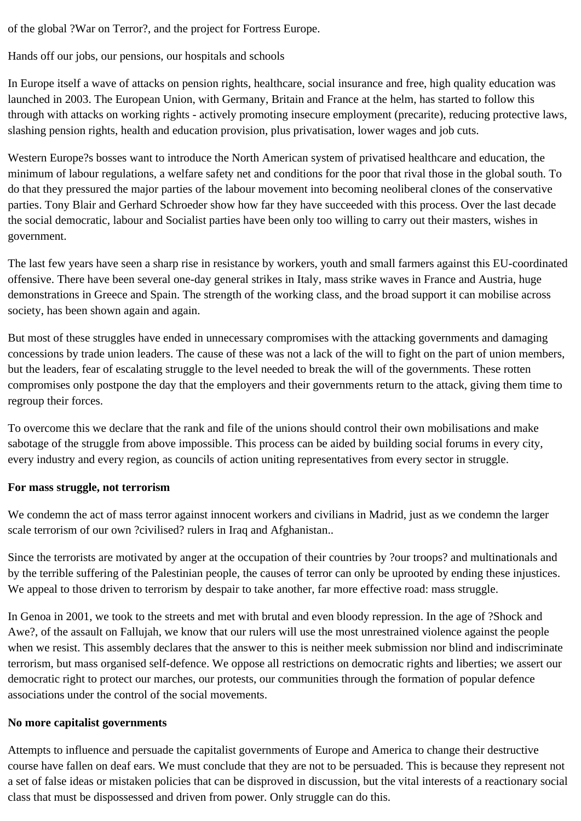of the global ?War on Terror?, and the project for Fortress Europe.

Hands off our jobs, our pensions, our hospitals and schools

In Europe itself a wave of attacks on pension rights, healthcare, social insurance and free, high quality education was launched in 2003. The European Union, with Germany, Britain and France at the helm, has started to follow this through with attacks on working rights - actively promoting insecure employment (precarite), reducing protective laws, slashing pension rights, health and education provision, plus privatisation, lower wages and job cuts.

Western Europe?s bosses want to introduce the North American system of privatised healthcare and education, the minimum of labour regulations, a welfare safety net and conditions for the poor that rival those in the global south. To do that they pressured the major parties of the labour movement into becoming neoliberal clones of the conservative parties. Tony Blair and Gerhard Schroeder show how far they have succeeded with this process. Over the last decade the social democratic, labour and Socialist parties have been only too willing to carry out their masters, wishes in government.

The last few years have seen a sharp rise in resistance by workers, youth and small farmers against this EU-coordinated offensive. There have been several one-day general strikes in Italy, mass strike waves in France and Austria, huge demonstrations in Greece and Spain. The strength of the working class, and the broad support it can mobilise across society, has been shown again and again.

But most of these struggles have ended in unnecessary compromises with the attacking governments and damaging concessions by trade union leaders. The cause of these was not a lack of the will to fight on the part of union members, but the leaders, fear of escalating struggle to the level needed to break the will of the governments. These rotten compromises only postpone the day that the employers and their governments return to the attack, giving them time to regroup their forces.

To overcome this we declare that the rank and file of the unions should control their own mobilisations and make sabotage of the struggle from above impossible. This process can be aided by building social forums in every city, every industry and every region, as councils of action uniting representatives from every sector in struggle.

#### **For mass struggle, not terrorism**

We condemn the act of mass terror against innocent workers and civilians in Madrid, just as we condemn the larger scale terrorism of our own ?civilised? rulers in Iraq and Afghanistan..

Since the terrorists are motivated by anger at the occupation of their countries by ?our troops? and multinationals and by the terrible suffering of the Palestinian people, the causes of terror can only be uprooted by ending these injustices. We appeal to those driven to terrorism by despair to take another, far more effective road: mass struggle.

In Genoa in 2001, we took to the streets and met with brutal and even bloody repression. In the age of ?Shock and Awe?, of the assault on Fallujah, we know that our rulers will use the most unrestrained violence against the people when we resist. This assembly declares that the answer to this is neither meek submission nor blind and indiscriminate terrorism, but mass organised self-defence. We oppose all restrictions on democratic rights and liberties; we assert our democratic right to protect our marches, our protests, our communities through the formation of popular defence associations under the control of the social movements.

## **No more capitalist governments**

Attempts to influence and persuade the capitalist governments of Europe and America to change their destructive course have fallen on deaf ears. We must conclude that they are not to be persuaded. This is because they represent not a set of false ideas or mistaken policies that can be disproved in discussion, but the vital interests of a reactionary social class that must be dispossessed and driven from power. Only struggle can do this.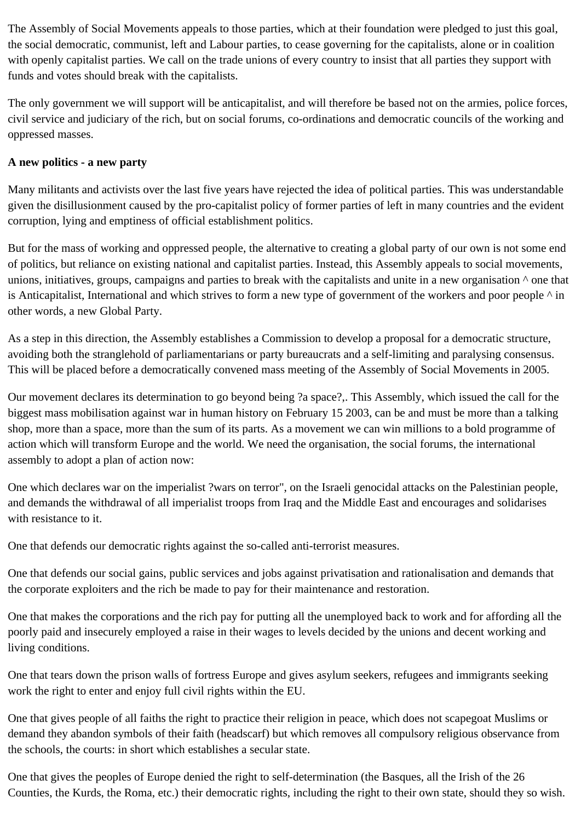The Assembly of Social Movements appeals to those parties, which at their foundation were pledged to just this goal, the social democratic, communist, left and Labour parties, to cease governing for the capitalists, alone or in coalition with openly capitalist parties. We call on the trade unions of every country to insist that all parties they support with funds and votes should break with the capitalists.

The only government we will support will be anticapitalist, and will therefore be based not on the armies, police forces, civil service and judiciary of the rich, but on social forums, co-ordinations and democratic councils of the working and oppressed masses.

### **A new politics - a new party**

Many militants and activists over the last five years have rejected the idea of political parties. This was understandable given the disillusionment caused by the pro-capitalist policy of former parties of left in many countries and the evident corruption, lying and emptiness of official establishment politics.

But for the mass of working and oppressed people, the alternative to creating a global party of our own is not some end of politics, but reliance on existing national and capitalist parties. Instead, this Assembly appeals to social movements, unions, initiatives, groups, campaigns and parties to break with the capitalists and unite in a new organisation  $\land$  one that is Anticapitalist, International and which strives to form a new type of government of the workers and poor people  $\land$  in other words, a new Global Party.

As a step in this direction, the Assembly establishes a Commission to develop a proposal for a democratic structure, avoiding both the stranglehold of parliamentarians or party bureaucrats and a self-limiting and paralysing consensus. This will be placed before a democratically convened mass meeting of the Assembly of Social Movements in 2005.

Our movement declares its determination to go beyond being ?a space?,. This Assembly, which issued the call for the biggest mass mobilisation against war in human history on February 15 2003, can be and must be more than a talking shop, more than a space, more than the sum of its parts. As a movement we can win millions to a bold programme of action which will transform Europe and the world. We need the organisation, the social forums, the international assembly to adopt a plan of action now:

One which declares war on the imperialist ?wars on terror", on the Israeli genocidal attacks on the Palestinian people, and demands the withdrawal of all imperialist troops from Iraq and the Middle East and encourages and solidarises with resistance to it.

One that defends our democratic rights against the so-called anti-terrorist measures.

One that defends our social gains, public services and jobs against privatisation and rationalisation and demands that the corporate exploiters and the rich be made to pay for their maintenance and restoration.

One that makes the corporations and the rich pay for putting all the unemployed back to work and for affording all the poorly paid and insecurely employed a raise in their wages to levels decided by the unions and decent working and living conditions.

One that tears down the prison walls of fortress Europe and gives asylum seekers, refugees and immigrants seeking work the right to enter and enjoy full civil rights within the EU.

One that gives people of all faiths the right to practice their religion in peace, which does not scapegoat Muslims or demand they abandon symbols of their faith (headscarf) but which removes all compulsory religious observance from the schools, the courts: in short which establishes a secular state.

One that gives the peoples of Europe denied the right to self-determination (the Basques, all the Irish of the 26 Counties, the Kurds, the Roma, etc.) their democratic rights, including the right to their own state, should they so wish.